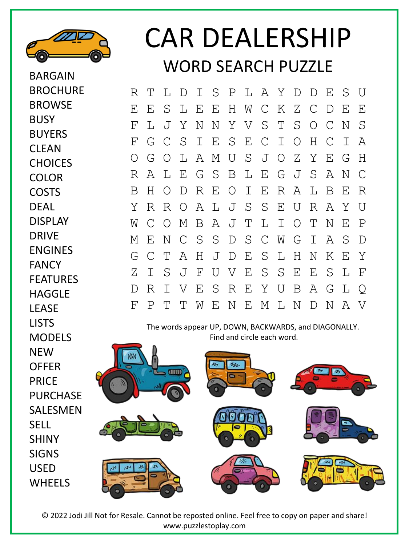

BARGAIN

BROWSE

BUYERS **CLEAN** 

**CHOICES** 

COLOR COSTS DEAL

DISPLAY

ENGINES

FEATURES **HAGGLF** 

DRIVE

FANCY

LEASE LISTS

**NFW** 

PRICE

SELL

SHINY SIGNS USED

MODELS

**BUSY** 

**BROCHURE** 

## CAR DEALERSHIP WORD SFARCH PUZZLE

R T L D I S P L A Y D D E S U E E S L E E H W C K Z C D E E F L J Y N N Y V S T S O C N S F G C S I E S E C I O H C I A O G O L A M U S J O Z Y E G H R A L E G S B L E G J S A N C B H O D R E O I E R A L B E R Y R R O A L J S S E U R A Y U W C O M B A J T L I O T N E P M E N C S S D S C W G I A S D G C T A H J D E S L H N K E Y Z I S J F U V E S S E E S L F D R I V E S R E Y U B A G L Q F P T T W E N E M L N D N A V

The words appear UP, DOWN, BACKWARDS, and DIAGONALLY. Find and circle each word.



© 2022 Jodi Jill Not for Resale. Cannot be reposted online. Feel free to copy on paper and share! www.puzzlestoplay.com